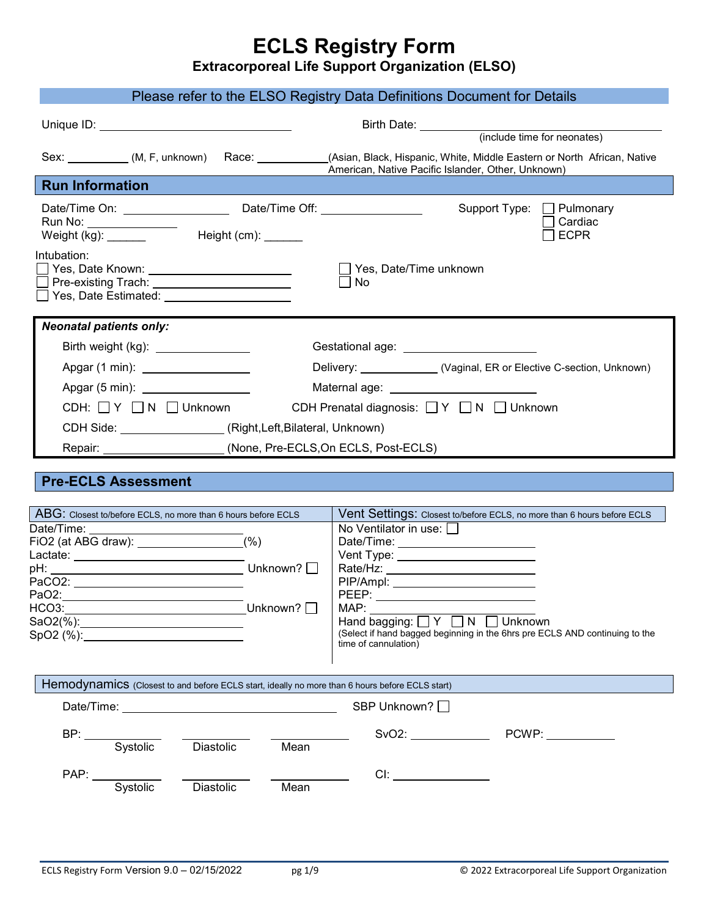# **ECLS Registry Form**

**Extracorporeal Life Support Organization (ELSO)** 

|                                                                                                                                                             | Please refer to the ELSO Registry Data Definitions Document for Details                                                                                                                                                              |
|-------------------------------------------------------------------------------------------------------------------------------------------------------------|--------------------------------------------------------------------------------------------------------------------------------------------------------------------------------------------------------------------------------------|
|                                                                                                                                                             |                                                                                                                                                                                                                                      |
|                                                                                                                                                             |                                                                                                                                                                                                                                      |
|                                                                                                                                                             | Sex: ___________(M, F, unknown) Race: ___________(Asian, Black, Hispanic, White, Middle Eastern or North African, Native<br>American, Native Pacific Islander, Other, Unknown)                                                       |
| <b>Run Information</b>                                                                                                                                      |                                                                                                                                                                                                                                      |
| Run No: ________________<br>$Weight (kg):$ Height $(cm):$                                                                                                   | Support Type: □ Pulmonary<br>Cardiac<br><b>ECPR</b>                                                                                                                                                                                  |
| Intubation:<br>Yes, Date Known: _________________________<br>Pre-existing Trach: _________________________<br>Yes, Date Estimated: ________________________ | Yes, Date/Time unknown<br>No                                                                                                                                                                                                         |
| <b>Neonatal patients only:</b>                                                                                                                              |                                                                                                                                                                                                                                      |
| Birth weight (kg): _________________                                                                                                                        | Gestational age: <u>contract and contract and contract and contract and contract and contract and contract and contract and contract and contract and contract and contract and contract and contract and contract and contract </u> |
| Apgar (1 min): __________________                                                                                                                           | Delivery: _____________(Vaginal, ER or Elective C-section, Unknown)                                                                                                                                                                  |
| Apgar (5 min): ___________________                                                                                                                          | Maternal age: ____________________________                                                                                                                                                                                           |
|                                                                                                                                                             |                                                                                                                                                                                                                                      |
| $CDH: \Box Y \Box N \Box$ Unknown                                                                                                                           | CDH Prenatal diagnosis: □ Y □ N □ Unknown                                                                                                                                                                                            |
| CDH Side: ___________________(Right,Left,Bilateral, Unknown)                                                                                                |                                                                                                                                                                                                                                      |
| Repair: ______________________                                                                                                                              | (None, Pre-ECLS, On ECLS, Post-ECLS)                                                                                                                                                                                                 |
| <b>Pre-ECLS Assessment</b><br>ABG: Closest to/before ECLS, no more than 6 hours before ECLS                                                                 | Vent Settings: Closest to/before ECLS, no more than 6 hours before ECLS                                                                                                                                                              |
| Date/Time:                                                                                                                                                  | No Ventilator in use: $\Box$                                                                                                                                                                                                         |
| (%)<br>FiO2 (at ABG draw): _________________<br>Lactate: _____________________________                                                                      | Date/Time: _______________________                                                                                                                                                                                                   |
| Unknown? $\Box$<br>pH:<br><u> 1980 - Johann Barbara, martxa amerikan personal (h. 1980).</u>                                                                |                                                                                                                                                                                                                                      |
| PaCO2: ____________________________                                                                                                                         | PIP/Ampl: ___________________________                                                                                                                                                                                                |
| PaO <sub>2</sub> :                                                                                                                                          | PEEP:                                                                                                                                                                                                                                |
| HCO3:<br>_Unknown? $\square$<br><u> 1980 - Johann Barn, mars ann an t-Amhain Aonaich an t-Aonaich an t-Aonaich ann an t-Aonaich ann an t-Aonaich</u>        | MAP:<br>Hand bagging: $\Box Y \Box N$                                                                                                                                                                                                |
| SaO2(%):______________________________<br>SpO2 (%):_____________________________                                                                            | Unknown<br>(Select if hand bagged beginning in the 6hrs pre ECLS AND continuing to the<br>time of cannulation)                                                                                                                       |
| Hemodynamics (Closest to and before ECLS start, ideally no more than 6 hours before ECLS start)                                                             |                                                                                                                                                                                                                                      |
| Date/Time: <u>____________________________</u>                                                                                                              | SBP Unknown? □                                                                                                                                                                                                                       |
|                                                                                                                                                             |                                                                                                                                                                                                                                      |
| Systolic<br><b>Diastolic</b><br>Mean                                                                                                                        | SvO2: PCWP: PCWP:                                                                                                                                                                                                                    |
|                                                                                                                                                             |                                                                                                                                                                                                                                      |
| PAP: Systolic                                                                                                                                               | Cl:                                                                                                                                                                                                                                  |
| Diastolic<br>Mean                                                                                                                                           |                                                                                                                                                                                                                                      |
|                                                                                                                                                             |                                                                                                                                                                                                                                      |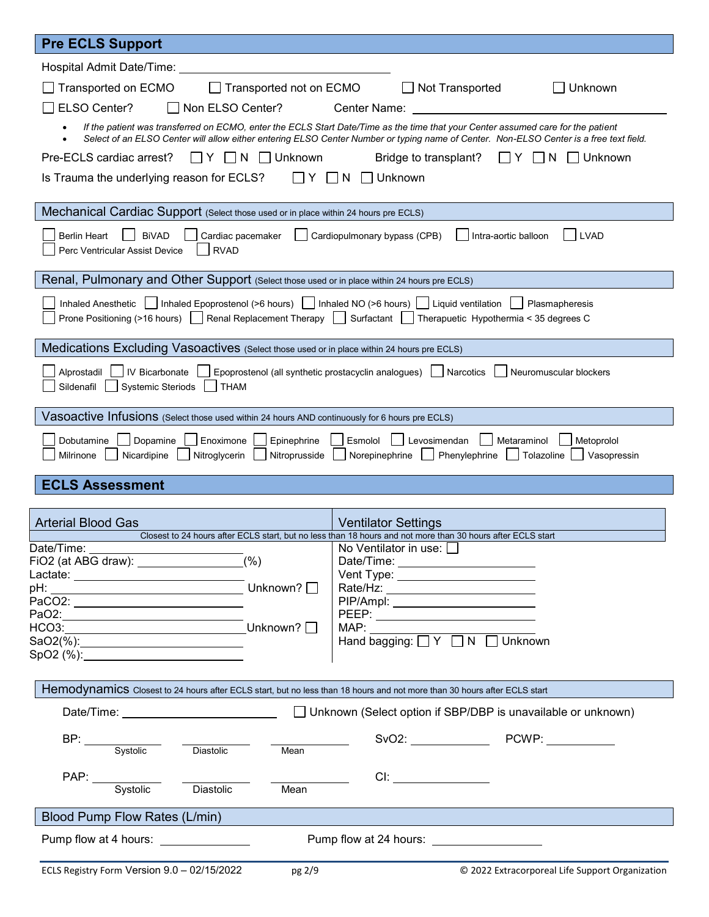| <b>Pre ECLS Support</b>                                                                                                                                                                                                                                                    |             |  |  |  |  |
|----------------------------------------------------------------------------------------------------------------------------------------------------------------------------------------------------------------------------------------------------------------------------|-------------|--|--|--|--|
| Hospital Admit Date/Time:                                                                                                                                                                                                                                                  |             |  |  |  |  |
| Transported on ECMO<br>Transported not on ECMO<br>Not Transported<br>Unknown                                                                                                                                                                                               |             |  |  |  |  |
| ELSO Center?<br>Non ELSO Center?<br>Center Name:                                                                                                                                                                                                                           |             |  |  |  |  |
| If the patient was transferred on ECMO, enter the ECLS Start Date/Time as the time that your Center assumed care for the patient<br>Select of an ELSO Center will allow either entering ELSO Center Number or typing name of Center. Non-ELSO Center is a free text field. |             |  |  |  |  |
| Pre-ECLS cardiac arrest?<br>Unknown<br>Bridge to transplant?<br>Unknown                                                                                                                                                                                                    |             |  |  |  |  |
| Is Trauma the underlying reason for ECLS?<br>Unknown<br>N                                                                                                                                                                                                                  |             |  |  |  |  |
| Mechanical Cardiac Support (Select those used or in place within 24 hours pre ECLS)                                                                                                                                                                                        |             |  |  |  |  |
| <b>Berlin Heart</b><br><b>BiVAD</b><br>Cardiopulmonary bypass (CPB)<br>Intra-aortic balloon<br><b>LVAD</b><br>Cardiac pacemaker<br><b>RVAD</b><br>Perc Ventricular Assist Device                                                                                           |             |  |  |  |  |
| Renal, Pulmonary and Other Support (Select those used or in place within 24 hours pre ECLS)                                                                                                                                                                                |             |  |  |  |  |
| Inhaled Anesthetic   Inhaled Epoprostenol (>6 hours)   Inhaled NO (>6 hours)   Liquid ventilation  <br>Plasmapheresis<br>Prone Positioning (>16 hours)   Renal Replacement Therapy   Surfactant<br>Therapuetic Hypothermia < 35 degrees C                                  |             |  |  |  |  |
| Medications Excluding Vasoactives (Select those used or in place within 24 hours pre ECLS)                                                                                                                                                                                 |             |  |  |  |  |
| IV Bicarbonate<br>Epoprostenol (all synthetic prostacyclin analogues)   Narcotics<br>Alprostadil<br>Neuromuscular blockers<br>Sildenafil<br><b>Systemic Steriods</b><br><b>THAM</b>                                                                                        |             |  |  |  |  |
| Vasoactive Infusions (Select those used within 24 hours AND continuously for 6 hours pre ECLS)                                                                                                                                                                             |             |  |  |  |  |
| Dobutamine<br>Enoximone<br>Epinephrine<br>Esmolol<br>Levosimendan<br>Dopamine<br>Metaraminol<br>Metoprolol<br>Phenylephrine<br>Nicardipine<br>Nitroglycerin<br>Nitroprusside<br>Norepinephrine<br>  Tolazoline<br>Milrinone                                                | Vasopressin |  |  |  |  |
| <b>ECLS Assessment</b>                                                                                                                                                                                                                                                     |             |  |  |  |  |
|                                                                                                                                                                                                                                                                            |             |  |  |  |  |
| <b>Arterial Blood Gas</b><br><b>Ventilator Settings</b><br>Closest to 24 hours after ECLS start, but no less than 18 hours and not more than 30 hours after ECLS start                                                                                                     |             |  |  |  |  |
| Date/Time:<br>No Ventilator in use: $\Box$                                                                                                                                                                                                                                 |             |  |  |  |  |
| Date/Time: _________________________<br>Vent Type: Vent Type:                                                                                                                                                                                                              |             |  |  |  |  |
| pH: Unknown? 0                                                                                                                                                                                                                                                             |             |  |  |  |  |
| PaCO2: __________________________<br>PIP/Ampl: __________________________                                                                                                                                                                                                  |             |  |  |  |  |
| PEEP: __________________________<br>HCO3:_________________ <del>___________</del> _Unknown? □                                                                                                                                                                              |             |  |  |  |  |
| MAP: $\Box$<br>Hand bagging: $\Box Y$ $\Box N$ $\Box$ Unknown                                                                                                                                                                                                              |             |  |  |  |  |
|                                                                                                                                                                                                                                                                            |             |  |  |  |  |
| Hemodynamics Closest to 24 hours after ECLS start, but no less than 18 hours and not more than 30 hours after ECLS start                                                                                                                                                   |             |  |  |  |  |
| Unknown (Select option if SBP/DBP is unavailable or unknown)                                                                                                                                                                                                               |             |  |  |  |  |
| BP:<br>Systolic –<br>Diastolic<br>Mean                                                                                                                                                                                                                                     |             |  |  |  |  |
|                                                                                                                                                                                                                                                                            |             |  |  |  |  |
| PAP: Systolic<br>Cl:<br>Diastolic<br>Mean                                                                                                                                                                                                                                  |             |  |  |  |  |
| Blood Pump Flow Rates (L/min)                                                                                                                                                                                                                                              |             |  |  |  |  |
| Pump flow at 4 hours: ________________                                                                                                                                                                                                                                     |             |  |  |  |  |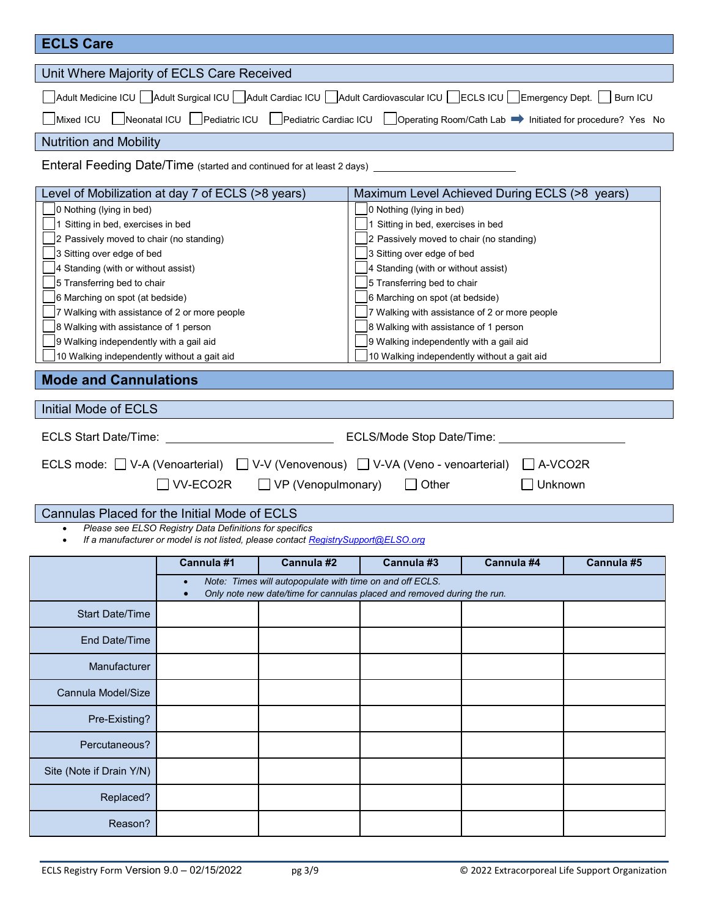| <b>ECLS Care</b>                                                                                                               |                                                                                   |                                                          |                                                                                                                  |                                               |            |
|--------------------------------------------------------------------------------------------------------------------------------|-----------------------------------------------------------------------------------|----------------------------------------------------------|------------------------------------------------------------------------------------------------------------------|-----------------------------------------------|------------|
| Unit Where Majority of ECLS Care Received                                                                                      |                                                                                   |                                                          |                                                                                                                  |                                               |            |
| Adult Medicine ICU   Adult Surgical ICU   Adult Cardiac ICU   Adult Cardiovascular ICU   ECLS ICU   Emergency Dept.   Burn ICU |                                                                                   |                                                          |                                                                                                                  |                                               |            |
| Mixed ICU                                                                                                                      |                                                                                   |                                                          | Neonatal ICU   Pediatric ICU   Pediatric Cardiac ICU   Operating Room/Cath Lab → Initiated for procedure? Yes No |                                               |            |
| <b>Nutrition and Mobility</b>                                                                                                  |                                                                                   |                                                          |                                                                                                                  |                                               |            |
| Enteral Feeding Date/Time (started and continued for at least 2 days)                                                          |                                                                                   |                                                          |                                                                                                                  |                                               |            |
| Level of Mobilization at day 7 of ECLS (>8 years)                                                                              |                                                                                   |                                                          | Maximum Level Achieved During ECLS (>8 years)                                                                    |                                               |            |
| 0 Nothing (lying in bed)                                                                                                       |                                                                                   |                                                          | 0 Nothing (lying in bed)                                                                                         |                                               |            |
| 1 Sitting in bed, exercises in bed                                                                                             |                                                                                   |                                                          | 1 Sitting in bed, exercises in bed                                                                               |                                               |            |
| 2 Passively moved to chair (no standing)                                                                                       |                                                                                   |                                                          | 2 Passively moved to chair (no standing)                                                                         |                                               |            |
| 3 Sitting over edge of bed                                                                                                     |                                                                                   |                                                          | 3 Sitting over edge of bed                                                                                       |                                               |            |
| 4 Standing (with or without assist)                                                                                            |                                                                                   |                                                          | 4 Standing (with or without assist)                                                                              |                                               |            |
| 5 Transferring bed to chair                                                                                                    |                                                                                   |                                                          | 5 Transferring bed to chair                                                                                      |                                               |            |
| 6 Marching on spot (at bedside)                                                                                                |                                                                                   |                                                          | 6 Marching on spot (at bedside)                                                                                  |                                               |            |
| 7 Walking with assistance of 2 or more people                                                                                  |                                                                                   |                                                          |                                                                                                                  | 7 Walking with assistance of 2 or more people |            |
| 8 Walking with assistance of 1 person                                                                                          |                                                                                   |                                                          | 8 Walking with assistance of 1 person                                                                            |                                               |            |
| 9 Walking independently with a gail aid                                                                                        |                                                                                   |                                                          | 9 Walking independently with a gail aid                                                                          |                                               |            |
|                                                                                                                                |                                                                                   |                                                          | 10 Walking independently without a gait aid                                                                      |                                               |            |
| 10 Walking independently without a gait aid                                                                                    |                                                                                   |                                                          |                                                                                                                  |                                               |            |
| <b>Mode and Cannulations</b>                                                                                                   |                                                                                   |                                                          |                                                                                                                  |                                               |            |
| <b>Initial Mode of ECLS</b>                                                                                                    |                                                                                   |                                                          |                                                                                                                  |                                               |            |
| <b>ECLS Start Date/Time:</b>                                                                                                   |                                                                                   |                                                          | ECLS/Mode Stop Date/Time:                                                                                        |                                               |            |
| ECLS mode: $\Box$ V-A (Venoarterial) $\Box$ V-V (Venovenous) $\Box$ V-VA (Veno - venoarterial)                                 |                                                                                   |                                                          |                                                                                                                  | $\vert$   A-VCO2R                             |            |
|                                                                                                                                | VV-ECO2R                                                                          | $\Box$ VP (Venopulmonary)                                | $\Box$ Other                                                                                                     |                                               | Unknown    |
|                                                                                                                                |                                                                                   |                                                          |                                                                                                                  |                                               |            |
| Cannulas Placed for the Initial Mode of ECLS                                                                                   | Please see ELSO Registry Data Definitions for specifics                           |                                                          |                                                                                                                  |                                               |            |
|                                                                                                                                | If a manufacturer or model is not listed, please contact RegistrySupport@ELSO.org |                                                          |                                                                                                                  |                                               |            |
|                                                                                                                                | Cannula #1                                                                        | Cannula #2                                               | Cannula #3                                                                                                       | Cannula #4                                    | Cannula #5 |
|                                                                                                                                |                                                                                   | Note: Times will autopopulate with time on and off ECLS. | Only note new date/time for cannulas placed and removed during the run.                                          |                                               |            |
| <b>Start Date/Time</b>                                                                                                         |                                                                                   |                                                          |                                                                                                                  |                                               |            |
| End Date/Time                                                                                                                  |                                                                                   |                                                          |                                                                                                                  |                                               |            |
|                                                                                                                                |                                                                                   |                                                          |                                                                                                                  |                                               |            |
| Manufacturer                                                                                                                   |                                                                                   |                                                          |                                                                                                                  |                                               |            |
| Cannula Model/Size                                                                                                             |                                                                                   |                                                          |                                                                                                                  |                                               |            |
| Pre-Existing?                                                                                                                  |                                                                                   |                                                          |                                                                                                                  |                                               |            |
| Percutaneous?                                                                                                                  |                                                                                   |                                                          |                                                                                                                  |                                               |            |
| Site (Note if Drain Y/N)                                                                                                       |                                                                                   |                                                          |                                                                                                                  |                                               |            |
| Replaced?                                                                                                                      |                                                                                   |                                                          |                                                                                                                  |                                               |            |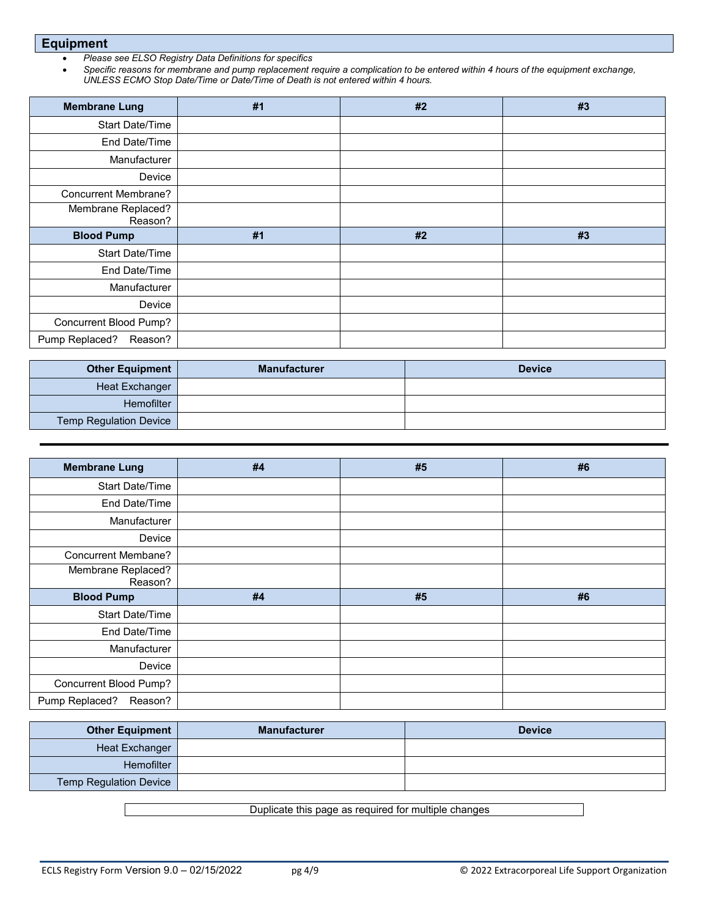**Equipment** 

- *Please see ELSO Registry Data Definitions for specifics*
- *Specific reasons for membrane and pump replacement require a complication to be entered within 4 hours of the equipment exchange, UNLESS ECMO Stop Date/Time or Date/Time of Death is not entered within 4 hours.*

| <b>Membrane Lung</b>          | #1 | #2 | #3 |
|-------------------------------|----|----|----|
| <b>Start Date/Time</b>        |    |    |    |
| End Date/Time                 |    |    |    |
| Manufacturer                  |    |    |    |
| Device                        |    |    |    |
| Concurrent Membrane?          |    |    |    |
| Membrane Replaced?<br>Reason? |    |    |    |
| <b>Blood Pump</b>             | #1 | #2 | #3 |
| <b>Start Date/Time</b>        |    |    |    |
| End Date/Time                 |    |    |    |
| Manufacturer                  |    |    |    |
| Device                        |    |    |    |
| Concurrent Blood Pump?        |    |    |    |
| Pump Replaced?<br>Reason?     |    |    |    |

| <b>Other Equipment</b>        | <b>Manufacturer</b> | <b>Device</b> |
|-------------------------------|---------------------|---------------|
| Heat Exchanger                |                     |               |
| Hemofilter                    |                     |               |
| <b>Temp Regulation Device</b> |                     |               |

| <b>Membrane Lung</b>          | #4 | #5 | #6 |
|-------------------------------|----|----|----|
| Start Date/Time               |    |    |    |
| End Date/Time                 |    |    |    |
| Manufacturer                  |    |    |    |
| Device                        |    |    |    |
| <b>Concurrent Membane?</b>    |    |    |    |
| Membrane Replaced?<br>Reason? |    |    |    |
| <b>Blood Pump</b>             | #4 | #5 | #6 |
| Start Date/Time               |    |    |    |
| End Date/Time                 |    |    |    |
| Manufacturer                  |    |    |    |
| Device                        |    |    |    |
| Concurrent Blood Pump?        |    |    |    |
| Pump Replaced?<br>Reason?     |    |    |    |

| <b>Other Equipment</b>        | <b>Manufacturer</b> | <b>Device</b> |
|-------------------------------|---------------------|---------------|
| Heat Exchanger                |                     |               |
| Hemofilter                    |                     |               |
| <b>Temp Regulation Device</b> |                     |               |

Duplicate this page as required for multiple changes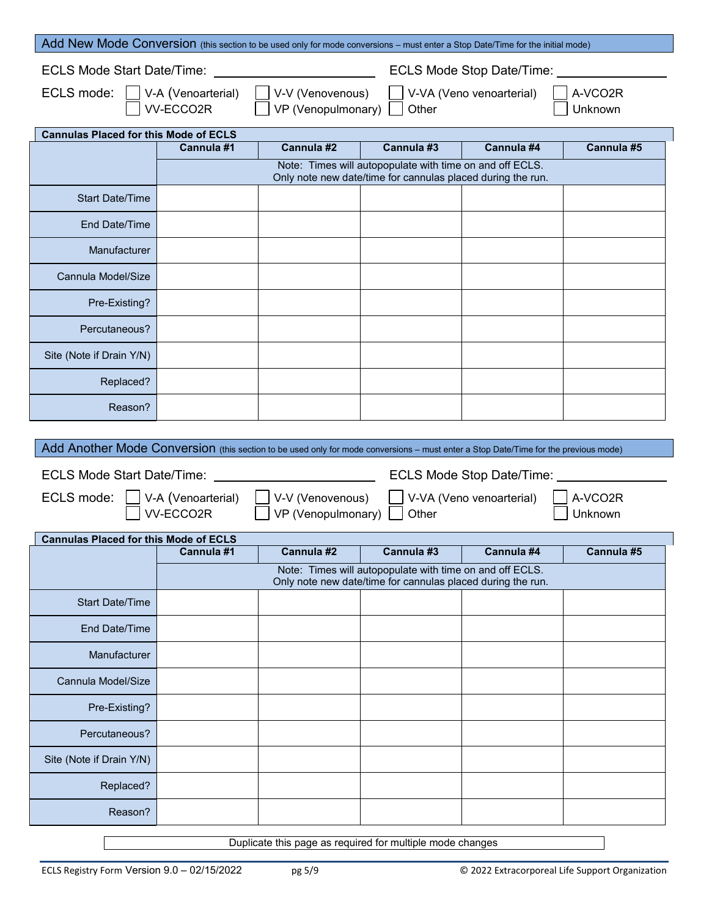| Add New Mode Conversion (this section to be used only for mode conversions - must enter a Stop Date/Time for the initial mode)                                   |            |            |            |            |            |
|------------------------------------------------------------------------------------------------------------------------------------------------------------------|------------|------------|------------|------------|------------|
| <b>ECLS Mode Start Date/Time:</b><br>ECLS Mode Stop Date/Time:                                                                                                   |            |            |            |            |            |
| ECLS mode:     V-A (Venoarterial)<br>V-V (Venovenous)<br>A-VCO2R<br>V-VA (Veno venoarterial)<br>$VP$ (Venopulmonary) $\sqrt{ }$<br>VV-ECCO2R<br>Other<br>Unknown |            |            |            |            |            |
| <b>Cannulas Placed for this Mode of ECLS</b>                                                                                                                     |            |            |            |            |            |
|                                                                                                                                                                  | Cannula #1 | Cannula #2 | Cannula #3 | Cannula #4 | Cannula #5 |
| Note: Times will autopopulate with time on and off ECLS.                                                                                                         |            |            |            |            |            |

|                          |  | $1000$ . Throe film datopopalato film anno on and on EoEo.<br>Only note new date/time for cannulas placed during the run. |  |
|--------------------------|--|---------------------------------------------------------------------------------------------------------------------------|--|
| <b>Start Date/Time</b>   |  |                                                                                                                           |  |
| End Date/Time            |  |                                                                                                                           |  |
| Manufacturer             |  |                                                                                                                           |  |
| Cannula Model/Size       |  |                                                                                                                           |  |
| Pre-Existing?            |  |                                                                                                                           |  |
| Percutaneous?            |  |                                                                                                                           |  |
| Site (Note if Drain Y/N) |  |                                                                                                                           |  |
| Replaced?                |  |                                                                                                                           |  |
| Reason?                  |  |                                                                                                                           |  |

| Add Another Mode Conversion (this section to be used only for mode conversions – must enter a Stop Date/Time for the previous mode) |                    |                    |                                                                                                                         |                          |            |
|-------------------------------------------------------------------------------------------------------------------------------------|--------------------|--------------------|-------------------------------------------------------------------------------------------------------------------------|--------------------------|------------|
| ECLS Mode Stop Date/Time: _<br><b>ECLS Mode Start Date/Time:</b>                                                                    |                    |                    |                                                                                                                         |                          |            |
| ECLS mode:                                                                                                                          | V-A (Venoarterial) | V-V (Venovenous)   |                                                                                                                         | V-VA (Veno venoarterial) | A-VCO2R    |
|                                                                                                                                     | VV-ECCO2R          | VP (Venopulmonary) | Other                                                                                                                   |                          | Unknown    |
| <b>Cannulas Placed for this Mode of ECLS</b>                                                                                        |                    |                    |                                                                                                                         |                          |            |
|                                                                                                                                     | Cannula #1         | Cannula #2         | Cannula #3                                                                                                              | Cannula #4               | Cannula #5 |
|                                                                                                                                     |                    |                    | Note: Times will autopopulate with time on and off ECLS.<br>Only note new date/time for cannulas placed during the run. |                          |            |
| <b>Start Date/Time</b>                                                                                                              |                    |                    |                                                                                                                         |                          |            |
| <b>End Date/Time</b>                                                                                                                |                    |                    |                                                                                                                         |                          |            |
| Manufacturer                                                                                                                        |                    |                    |                                                                                                                         |                          |            |
| Cannula Model/Size                                                                                                                  |                    |                    |                                                                                                                         |                          |            |
| Pre-Existing?                                                                                                                       |                    |                    |                                                                                                                         |                          |            |
| Percutaneous?                                                                                                                       |                    |                    |                                                                                                                         |                          |            |
| Site (Note if Drain Y/N)                                                                                                            |                    |                    |                                                                                                                         |                          |            |
| Replaced?                                                                                                                           |                    |                    |                                                                                                                         |                          |            |
| Reason?                                                                                                                             |                    |                    |                                                                                                                         |                          |            |
|                                                                                                                                     |                    |                    |                                                                                                                         |                          |            |

Duplicate this page as required for multiple mode changes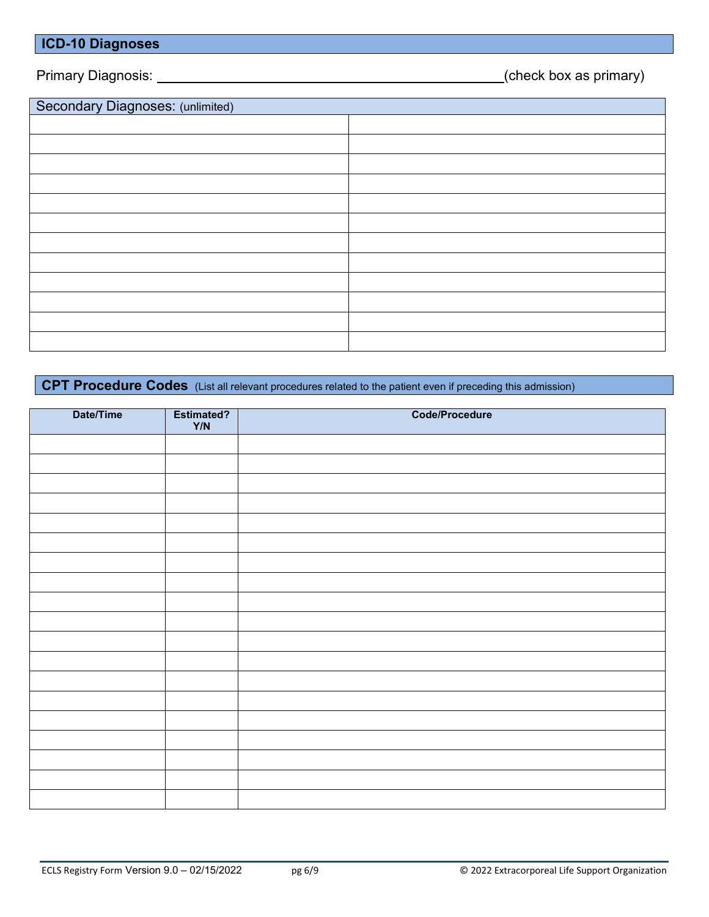#### **ICD-10 Diagnoses**

Primary Diagnosis: (check box as primary)

| Secondary Diagnoses: (unlimited) |  |
|----------------------------------|--|
|                                  |  |
|                                  |  |
|                                  |  |
|                                  |  |
|                                  |  |
|                                  |  |
|                                  |  |
|                                  |  |
|                                  |  |
|                                  |  |
|                                  |  |
|                                  |  |

## **CPT Procedure Codes** (List all relevant procedures related to the patient even if preceding this admission)

| Date/Time | Estimated?<br>Y/N | <b>Code/Procedure</b> |
|-----------|-------------------|-----------------------|
|           |                   |                       |
|           |                   |                       |
|           |                   |                       |
|           |                   |                       |
|           |                   |                       |
|           |                   |                       |
|           |                   |                       |
|           |                   |                       |
|           |                   |                       |
|           |                   |                       |
|           |                   |                       |
|           |                   |                       |
|           |                   |                       |
|           |                   |                       |
|           |                   |                       |
|           |                   |                       |
|           |                   |                       |
|           |                   |                       |
|           |                   |                       |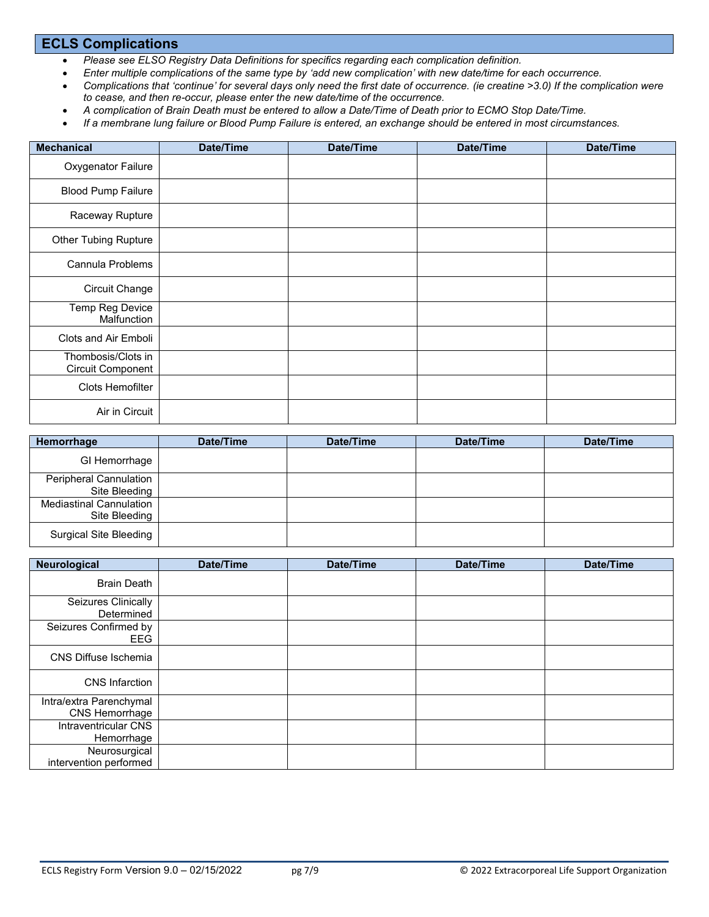#### **ECLS Complications**

- *Please see ELSO Registry Data Definitions for specifics regarding each complication definition.*
- *Enter multiple complications of the same type by 'add new complication' with new date/time for each occurrence.*
- *Complications that 'continue' for several days only need the first date of occurrence. (ie creatine >3.0) If the complication were to cease, and then re-occur, please enter the new date/time of the occurrence.*
- *A complication of Brain Death must be entered to allow a Date/Time of Death prior to ECMO Stop Date/Time.*
- *If a membrane lung failure or Blood Pump Failure is entered, an exchange should be entered in most circumstances.*

| <b>Mechanical</b>                       | Date/Time | Date/Time | Date/Time | Date/Time |
|-----------------------------------------|-----------|-----------|-----------|-----------|
| Oxygenator Failure                      |           |           |           |           |
| <b>Blood Pump Failure</b>               |           |           |           |           |
| Raceway Rupture                         |           |           |           |           |
| <b>Other Tubing Rupture</b>             |           |           |           |           |
| Cannula Problems                        |           |           |           |           |
| <b>Circuit Change</b>                   |           |           |           |           |
| Temp Reg Device<br>Malfunction          |           |           |           |           |
| Clots and Air Emboli                    |           |           |           |           |
| Thombosis/Clots in<br>Circuit Component |           |           |           |           |
| Clots Hemofilter                        |           |           |           |           |
| Air in Circuit                          |           |           |           |           |

| Hemorrhage                                      | Date/Time | Date/Time | Date/Time | Date/Time |
|-------------------------------------------------|-----------|-----------|-----------|-----------|
| GI Hemorrhage                                   |           |           |           |           |
| Peripheral Cannulation<br>Site Bleeding         |           |           |           |           |
| <b>Mediastinal Cannulation</b><br>Site Bleeding |           |           |           |           |
| <b>Surgical Site Bleeding</b>                   |           |           |           |           |

| Neurological                              | Date/Time | Date/Time | Date/Time | Date/Time |
|-------------------------------------------|-----------|-----------|-----------|-----------|
| <b>Brain Death</b>                        |           |           |           |           |
| Seizures Clinically<br>Determined         |           |           |           |           |
| Seizures Confirmed by<br>EEG              |           |           |           |           |
| CNS Diffuse Ischemia                      |           |           |           |           |
| <b>CNS</b> Infarction                     |           |           |           |           |
| Intra/extra Parenchymal<br>CNS Hemorrhage |           |           |           |           |
| Intraventricular CNS<br>Hemorrhage        |           |           |           |           |
| Neurosurgical<br>intervention performed   |           |           |           |           |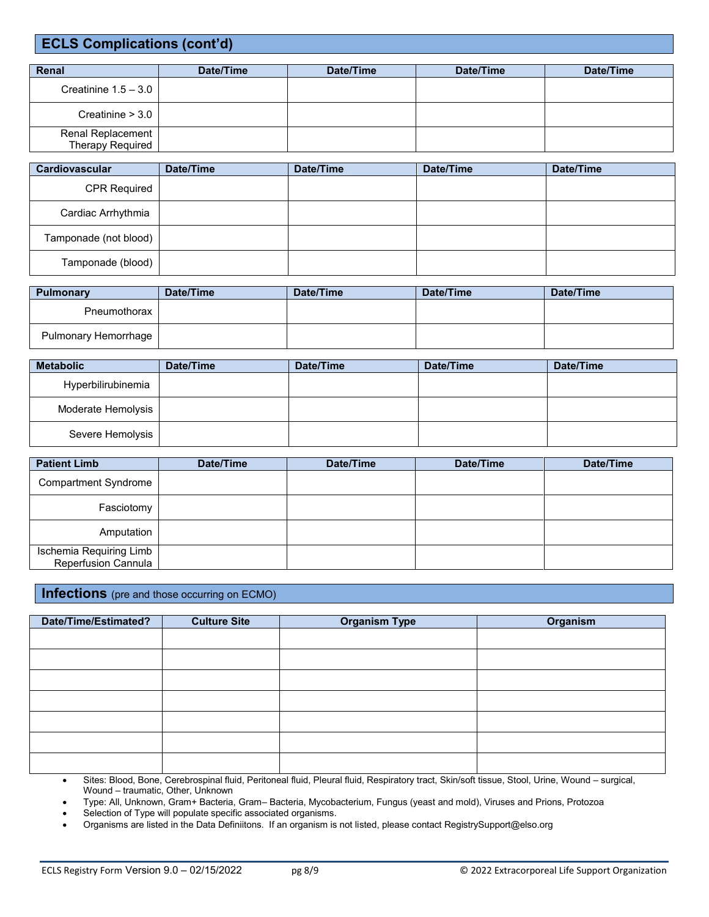### **ECLS Complications (cont'd)**

| Renal                                 | Date/Time | Date/Time | Date/Time | Date/Time |
|---------------------------------------|-----------|-----------|-----------|-----------|
| Creatinine $1.5 - 3.0$                |           |           |           |           |
| Creatinine $> 3.0$                    |           |           |           |           |
| Renal Replacement<br>Therapy Required |           |           |           |           |

| <b>Cardiovascular</b> | Date/Time | Date/Time | Date/Time | Date/Time |
|-----------------------|-----------|-----------|-----------|-----------|
| CPR Required          |           |           |           |           |
| Cardiac Arrhythmia    |           |           |           |           |
| Tamponade (not blood) |           |           |           |           |
| Tamponade (blood)     |           |           |           |           |

| Pulmonary            | Date/Time | Date/Time | Date/Time | Date/Time |
|----------------------|-----------|-----------|-----------|-----------|
| Pneumothorax         |           |           |           |           |
| Pulmonary Hemorrhage |           |           |           |           |

| <b>Metabolic</b>   | Date/Time | Date/Time | Date/Time | Date/Time |
|--------------------|-----------|-----------|-----------|-----------|
| Hyperbilirubinemia |           |           |           |           |
| Moderate Hemolysis |           |           |           |           |
| Severe Hemolysis   |           |           |           |           |

| <b>Patient Limb</b>                            | Date/Time | Date/Time | Date/Time | Date/Time |
|------------------------------------------------|-----------|-----------|-----------|-----------|
| <b>Compartment Syndrome</b>                    |           |           |           |           |
| Fasciotomy                                     |           |           |           |           |
| Amputation                                     |           |           |           |           |
| Ischemia Requiring Limb<br>Reperfusion Cannula |           |           |           |           |

#### **Infections** (pre and those occurring on ECMO)

| Date/Time/Estimated? | <b>Culture Site</b> | <b>Organism Type</b> | <b>Organism</b> |
|----------------------|---------------------|----------------------|-----------------|
|                      |                     |                      |                 |
|                      |                     |                      |                 |
|                      |                     |                      |                 |
|                      |                     |                      |                 |
|                      |                     |                      |                 |
|                      |                     |                      |                 |
|                      |                     |                      |                 |

 Sites: Blood, Bone, Cerebrospinal fluid, Peritoneal fluid, Pleural fluid, Respiratory tract, Skin/soft tissue, Stool, Urine, Wound – surgical, Wound – traumatic, Other, Unknown

Type: All, Unknown, Gram+ Bacteria, Gram– Bacteria, Mycobacterium, Fungus (yeast and mold), Viruses and Prions, Protozoa

Selection of Type will populate specific associated organisms.

Organisms are listed in the Data Definiitons. If an organism is not listed, please contact RegistrySupport@elso.org